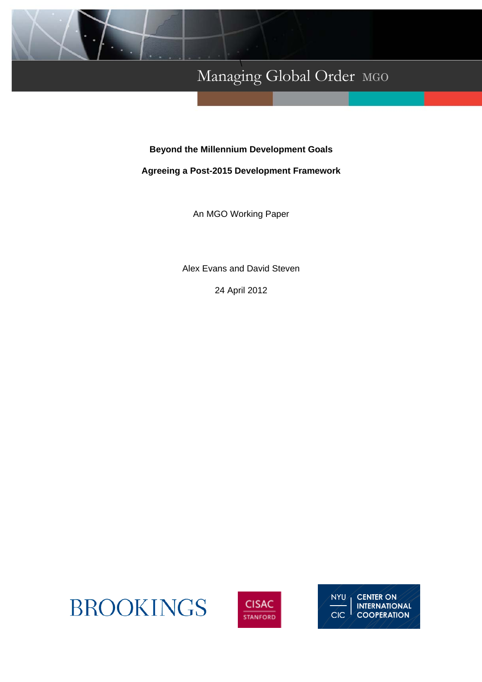

# Managing Global Order MGO \

## **Beyond the Millennium Development Goals**

## **Agreeing a Post-2015 Development Framework**

An MGO Working Paper

Alex Evans and David Steven

24 April 2012





**NYU CENTER ON INTERNATIONAL COOPERATION** CIC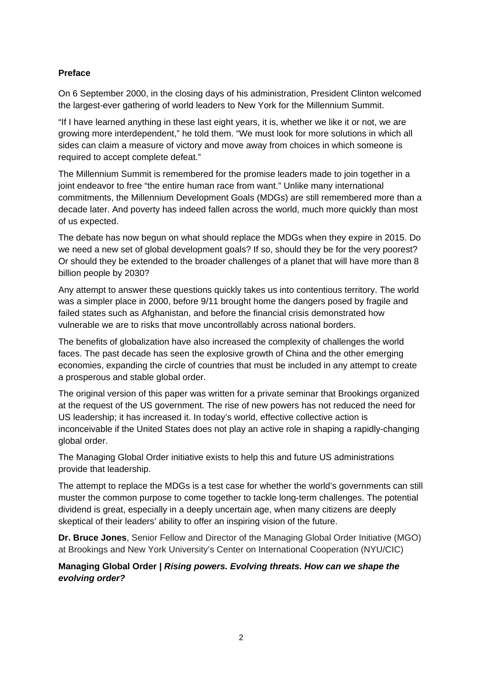## **Preface**

On 6 September 2000, in the closing days of his administration, President Clinton welcomed the largest-ever gathering of world leaders to New York for the Millennium Summit.

"If I have learned anything in these last eight years, it is, whether we like it or not, we are growing more interdependent," he told them. "We must look for more solutions in which all sides can claim a measure of victory and move away from choices in which someone is required to accept complete defeat."

The Millennium Summit is remembered for the promise leaders made to join together in a joint endeavor to free "the entire human race from want." Unlike many international commitments, the Millennium Development Goals (MDGs) are still remembered more than a decade later. And poverty has indeed fallen across the world, much more quickly than most of us expected.

The debate has now begun on what should replace the MDGs when they expire in 2015. Do we need a new set of global development goals? If so, should they be for the very poorest? Or should they be extended to the broader challenges of a planet that will have more than 8 billion people by 2030?

Any attempt to answer these questions quickly takes us into contentious territory. The world was a simpler place in 2000, before 9/11 brought home the dangers posed by fragile and failed states such as Afghanistan, and before the financial crisis demonstrated how vulnerable we are to risks that move uncontrollably across national borders.

The benefits of globalization have also increased the complexity of challenges the world faces. The past decade has seen the explosive growth of China and the other emerging economies, expanding the circle of countries that must be included in any attempt to create a prosperous and stable global order.

The original version of this paper was written for a private seminar that Brookings organized at the request of the US government. The rise of new powers has not reduced the need for US leadership; it has increased it. In today's world, effective collective action is inconceivable if the United States does not play an active role in shaping a rapidly-changing global order.

The Managing Global Order initiative exists to help this and future US administrations provide that leadership.

The attempt to replace the MDGs is a test case for whether the world's governments can still muster the common purpose to come together to tackle long-term challenges. The potential dividend is great, especially in a deeply uncertain age, when many citizens are deeply skeptical of their leaders' ability to offer an inspiring vision of the future.

**Dr. Bruce Jones**, Senior Fellow and Director of the Managing Global Order Initiative (MGO) at Brookings and New York University's Center on International Cooperation (NYU/CIC)

## **Managing Global Order |** *Rising powers. Evolving threats. How can we shape the evolving order?*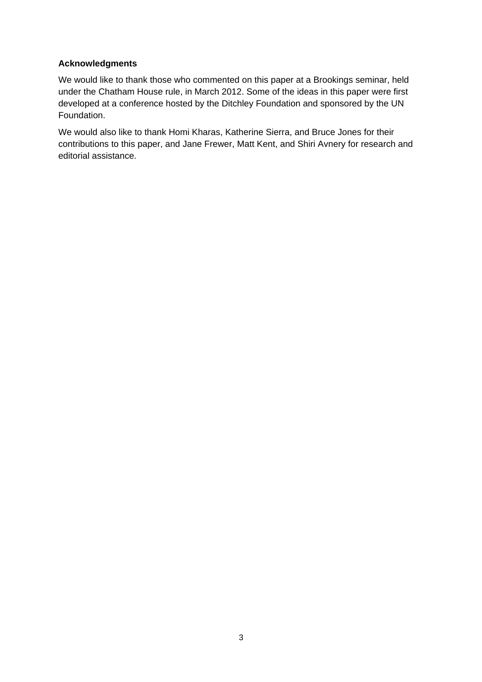### **Acknowledgments**

We would like to thank those who commented on this paper at a Brookings seminar, held under the Chatham House rule, in March 2012. Some of the ideas in this paper were first developed at a conference hosted by the Ditchley Foundation and sponsored by the UN Foundation.

We would also like to thank Homi Kharas, Katherine Sierra, and Bruce Jones for their contributions to this paper, and Jane Frewer, Matt Kent, and Shiri Avnery for research and editorial assistance.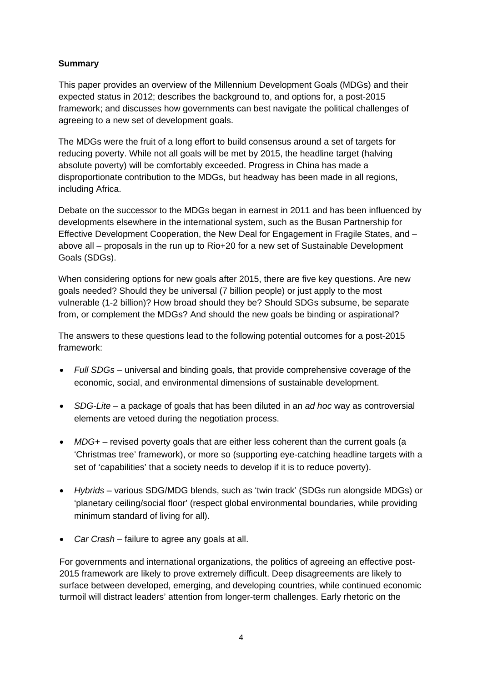## **Summary**

This paper provides an overview of the Millennium Development Goals (MDGs) and their expected status in 2012; describes the background to, and options for, a post-2015 framework; and discusses how governments can best navigate the political challenges of agreeing to a new set of development goals.

The MDGs were the fruit of a long effort to build consensus around a set of targets for reducing poverty. While not all goals will be met by 2015, the headline target (halving absolute poverty) will be comfortably exceeded. Progress in China has made a disproportionate contribution to the MDGs, but headway has been made in all regions, including Africa.

Debate on the successor to the MDGs began in earnest in 2011 and has been influenced by developments elsewhere in the international system, such as the Busan Partnership for Effective Development Cooperation, the New Deal for Engagement in Fragile States, and – above all – proposals in the run up to Rio+20 for a new set of Sustainable Development Goals (SDGs).

When considering options for new goals after 2015, there are five key questions. Are new goals needed? Should they be universal (7 billion people) or just apply to the most vulnerable (1-2 billion)? How broad should they be? Should SDGs subsume, be separate from, or complement the MDGs? And should the new goals be binding or aspirational?

The answers to these questions lead to the following potential outcomes for a post-2015 framework:

- *Full SDGs* universal and binding goals, that provide comprehensive coverage of the economic, social, and environmental dimensions of sustainable development.
- *SDG-Lite* a package of goals that has been diluted in an *ad hoc* way as controversial elements are vetoed during the negotiation process.
- *MDG+* revised poverty goals that are either less coherent than the current goals (a 'Christmas tree' framework), or more so (supporting eye-catching headline targets with a set of 'capabilities' that a society needs to develop if it is to reduce poverty).
- *Hybrids*  various SDG/MDG blends, such as 'twin track' (SDGs run alongside MDGs) or 'planetary ceiling/social floor' (respect global environmental boundaries, while providing minimum standard of living for all).
- Car Crash failure to agree any goals at all.

For governments and international organizations, the politics of agreeing an effective post-2015 framework are likely to prove extremely difficult. Deep disagreements are likely to surface between developed, emerging, and developing countries, while continued economic turmoil will distract leaders' attention from longer-term challenges. Early rhetoric on the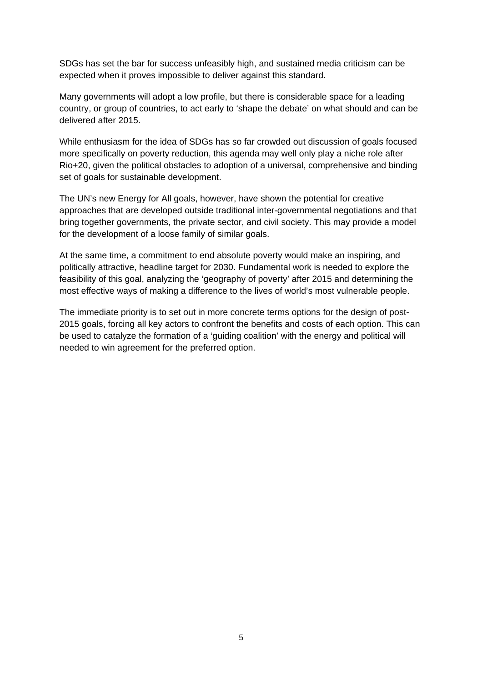SDGs has set the bar for success unfeasibly high, and sustained media criticism can be expected when it proves impossible to deliver against this standard.

Many governments will adopt a low profile, but there is considerable space for a leading country, or group of countries, to act early to 'shape the debate' on what should and can be delivered after 2015.

While enthusiasm for the idea of SDGs has so far crowded out discussion of goals focused more specifically on poverty reduction, this agenda may well only play a niche role after Rio+20, given the political obstacles to adoption of a universal, comprehensive and binding set of goals for sustainable development.

The UN's new Energy for All goals, however, have shown the potential for creative approaches that are developed outside traditional inter-governmental negotiations and that bring together governments, the private sector, and civil society. This may provide a model for the development of a loose family of similar goals.

At the same time, a commitment to end absolute poverty would make an inspiring, and politically attractive, headline target for 2030. Fundamental work is needed to explore the feasibility of this goal, analyzing the 'geography of poverty' after 2015 and determining the most effective ways of making a difference to the lives of world's most vulnerable people.

The immediate priority is to set out in more concrete terms options for the design of post-2015 goals, forcing all key actors to confront the benefits and costs of each option. This can be used to catalyze the formation of a 'guiding coalition' with the energy and political will needed to win agreement for the preferred option.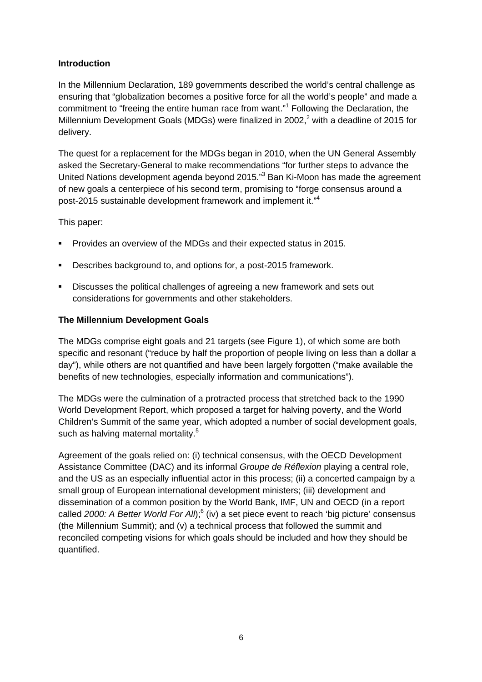### **Introduction**

In the Millennium Declaration, 189 governments described the world's central challenge as ensuring that "globalization becomes a positive force for all the world's people" and made a commitment to "freeing the entire human race from want."<sup>1</sup> Following the Declaration, the Millennium Development Goals (MDGs) were finalized in 2002,<sup>2</sup> with a deadline of 2015 for delivery.

The quest for a replacement for the MDGs began in 2010, when the UN General Assembly asked the Secretary-General to make recommendations "for further steps to advance the United Nations development agenda beyond 2015."<sup>3</sup> Ban Ki-Moon has made the agreement of new goals a centerpiece of his second term, promising to "forge consensus around a post-2015 sustainable development framework and implement it."4

This paper:

- Provides an overview of the MDGs and their expected status in 2015.
- **Describes background to, and options for, a post-2015 framework.**
- Discusses the political challenges of agreeing a new framework and sets out considerations for governments and other stakeholders.

### **The Millennium Development Goals**

The MDGs comprise eight goals and 21 targets (see Figure 1), of which some are both specific and resonant ("reduce by half the proportion of people living on less than a dollar a day"), while others are not quantified and have been largely forgotten ("make available the benefits of new technologies, especially information and communications").

The MDGs were the culmination of a protracted process that stretched back to the 1990 World Development Report, which proposed a target for halving poverty, and the World Children's Summit of the same year, which adopted a number of social development goals, such as halving maternal mortality.<sup>5</sup>

Agreement of the goals relied on: (i) technical consensus, with the OECD Development Assistance Committee (DAC) and its informal *Groupe de Réflexion* playing a central role, and the US as an especially influential actor in this process; (ii) a concerted campaign by a small group of European international development ministers; (iii) development and dissemination of a common position by the World Bank, IMF, UN and OECD (in a report called 2000: A Better World For All);<sup>6</sup> (iv) a set piece event to reach 'big picture' consensus (the Millennium Summit); and (v) a technical process that followed the summit and reconciled competing visions for which goals should be included and how they should be quantified.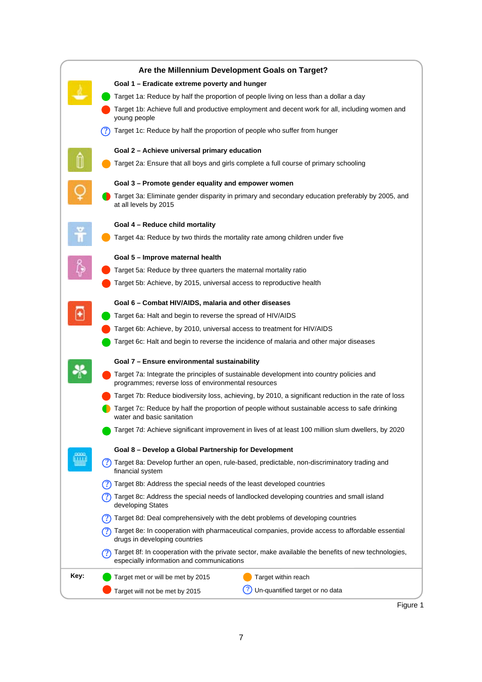

Figure 1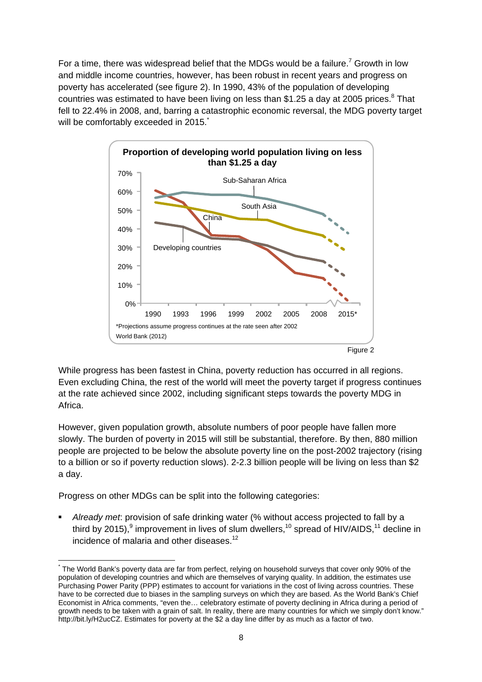For a time, there was widespread belief that the MDGs would be a failure.<sup>7</sup> Growth in low and middle income countries, however, has been robust in recent years and progress on poverty has accelerated (see figure 2). In 1990, 43% of the population of developing countries was estimated to have been living on less than \$1.25 a day at 2005 prices. $8$  That fell to 22.4% in 2008, and, barring a catastrophic economic reversal, the MDG poverty target will be comfortably exceeded in 2015.



While progress has been fastest in China, poverty reduction has occurred in all regions. Even excluding China, the rest of the world will meet the poverty target if progress continues at the rate achieved since 2002, including significant steps towards the poverty MDG in Africa.

However, given population growth, absolute numbers of poor people have fallen more slowly. The burden of poverty in 2015 will still be substantial, therefore. By then, 880 million people are projected to be below the absolute poverty line on the post-2002 trajectory (rising to a billion or so if poverty reduction slows). 2-2.3 billion people will be living on less than \$2 a day.

Progress on other MDGs can be split into the following categories:

 *Already met*: provision of safe drinking water (% without access projected to fall by a third by 2015),<sup>9</sup> improvement in lives of slum dwellers,<sup>10</sup> spread of HIV/AIDS,<sup>11</sup> decline in incidence of malaria and other diseases.12

 \* The World Bank's poverty data are far from perfect, relying on household surveys that cover only 90% of the population of developing countries and which are themselves of varying quality. In addition, the estimates use Purchasing Power Parity (PPP) estimates to account for variations in the cost of living across countries. These have to be corrected due to biases in the sampling surveys on which they are based. As the World Bank's Chief Economist in Africa comments, "even the… celebratory estimate of poverty declining in Africa during a period of growth needs to be taken with a grain of salt. In reality, there are many countries for which we simply don't know." http://bit.ly/H2ucCZ. Estimates for poverty at the \$2 a day line differ by as much as a factor of two.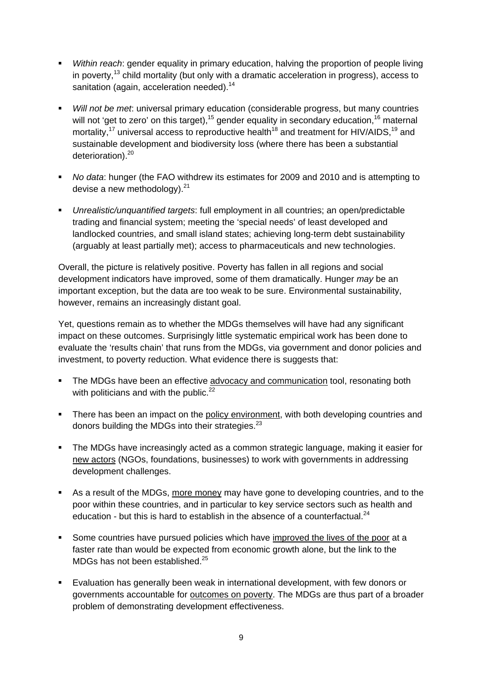- *Within reach*: gender equality in primary education, halving the proportion of people living in poverty,<sup>13</sup> child mortality (but only with a dramatic acceleration in progress), access to sanitation (again, acceleration needed).<sup>14</sup>
- *Will not be met*: universal primary education (considerable progress, but many countries will not 'get to zero' on this target),  $15$  gender equality in secondary education,  $16$  maternal mortality,<sup>17</sup> universal access to reproductive health<sup>18</sup> and treatment for HIV/AIDS,<sup>19</sup> and sustainable development and biodiversity loss (where there has been a substantial deterioration).<sup>20</sup>
- *No data*: hunger (the FAO withdrew its estimates for 2009 and 2010 and is attempting to devise a new methodology). $21$
- *Unrealistic/unquantified targets*: full employment in all countries; an open/predictable trading and financial system; meeting the 'special needs' of least developed and landlocked countries, and small island states; achieving long-term debt sustainability (arguably at least partially met); access to pharmaceuticals and new technologies.

Overall, the picture is relatively positive. Poverty has fallen in all regions and social development indicators have improved, some of them dramatically. Hunger *may* be an important exception, but the data are too weak to be sure. Environmental sustainability, however, remains an increasingly distant goal.

Yet, questions remain as to whether the MDGs themselves will have had any significant impact on these outcomes. Surprisingly little systematic empirical work has been done to evaluate the 'results chain' that runs from the MDGs, via government and donor policies and investment, to poverty reduction. What evidence there is suggests that:

- The MDGs have been an effective advocacy and communication tool, resonating both with politicians and with the public. $^{22}$
- There has been an impact on the policy environment, with both developing countries and donors building the MDGs into their strategies.<sup>23</sup>
- The MDGs have increasingly acted as a common strategic language, making it easier for new actors (NGOs, foundations, businesses) to work with governments in addressing development challenges.
- As a result of the MDGs, more money may have gone to developing countries, and to the poor within these countries, and in particular to key service sectors such as health and education - but this is hard to establish in the absence of a counterfactual. $^{24}$
- Some countries have pursued policies which have improved the lives of the poor at a faster rate than would be expected from economic growth alone, but the link to the MDGs has not been established.<sup>25</sup>
- Evaluation has generally been weak in international development, with few donors or governments accountable for outcomes on poverty. The MDGs are thus part of a broader problem of demonstrating development effectiveness.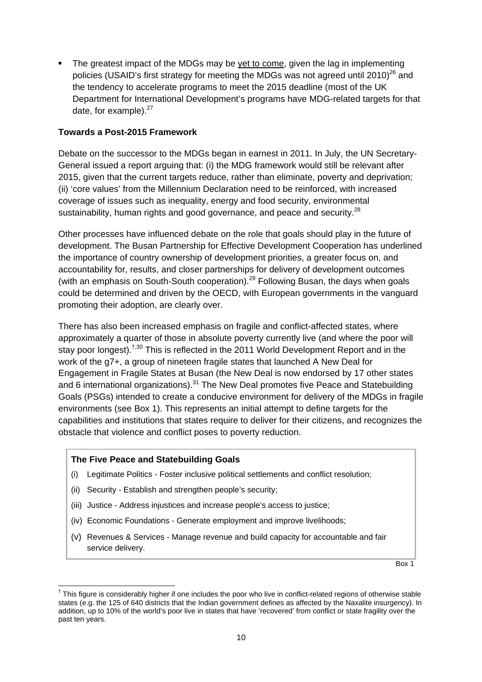The greatest impact of the MDGs may be yet to come, given the lag in implementing policies (USAID's first strategy for meeting the MDGs was not agreed until 2010)<sup>26</sup> and the tendency to accelerate programs to meet the 2015 deadline (most of the UK Department for International Development's programs have MDG-related targets for that date, for example). $27$ 

#### **Towards a Post-2015 Framework**

Debate on the successor to the MDGs began in earnest in 2011. In July, the UN Secretary-General issued a report arguing that: (i) the MDG framework would still be relevant after 2015, given that the current targets reduce, rather than eliminate, poverty and deprivation; (ii) 'core values' from the Millennium Declaration need to be reinforced, with increased coverage of issues such as inequality, energy and food security, environmental sustainability, human rights and good governance, and peace and security.<sup>28</sup>

Other processes have influenced debate on the role that goals should play in the future of development. The Busan Partnership for Effective Development Cooperation has underlined the importance of country ownership of development priorities, a greater focus on, and accountability for, results, and closer partnerships for delivery of development outcomes (with an emphasis on South-South cooperation).<sup>29</sup> Following Busan, the days when goals could be determined and driven by the OECD, with European governments in the vanguard promoting their adoption, are clearly over.

There has also been increased emphasis on fragile and conflict-affected states, where approximately a quarter of those in absolute poverty currently live (and where the poor will stay poor longest).<sup>†,30</sup> This is reflected in the 2011 World Development Report and in the work of the g7+, a group of nineteen fragile states that launched A New Deal for Engagement in Fragile States at Busan (the New Deal is now endorsed by 17 other states and 6 international organizations).<sup>31</sup> The New Deal promotes five Peace and Statebuilding Goals (PSGs) intended to create a conducive environment for delivery of the MDGs in fragile environments (see Box 1). This represents an initial attempt to define targets for the capabilities and institutions that states require to deliver for their citizens, and recognizes the obstacle that violence and conflict poses to poverty reduction.

#### **The Five Peace and Statebuilding Goals**

- (i) Legitimate Politics Foster inclusive political settlements and conflict resolution;
- (ii) Security Establish and strengthen people's security;
- (iii) Justice Address injustices and increase people's access to justice;
- (iv) Economic Foundations Generate employment and improve livelihoods;
- (v) Revenues & Services Manage revenue and build capacity for accountable and fair service delivery.

Box 1

  $<sup>†</sup>$  This figure is considerably higher if one includes the poor who live in conflict-related regions of otherwise stable</sup> states (e.g. the 125 of 640 districts that the Indian government defines as affected by the Naxalite insurgency). In addition, up to 10% of the world's poor live in states that have 'recovered' from conflict or state fragility over the past ten years.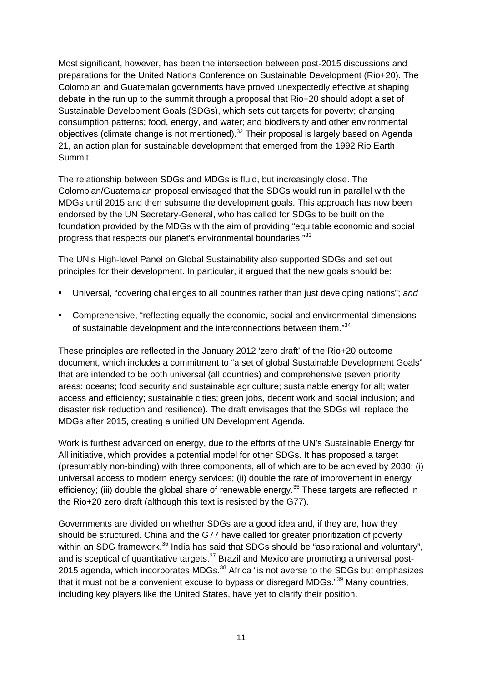Most significant, however, has been the intersection between post-2015 discussions and preparations for the United Nations Conference on Sustainable Development (Rio+20). The Colombian and Guatemalan governments have proved unexpectedly effective at shaping debate in the run up to the summit through a proposal that Rio+20 should adopt a set of Sustainable Development Goals (SDGs), which sets out targets for poverty; changing consumption patterns; food, energy, and water; and biodiversity and other environmental objectives (climate change is not mentioned).<sup>32</sup> Their proposal is largely based on Agenda 21, an action plan for sustainable development that emerged from the 1992 Rio Earth Summit.

The relationship between SDGs and MDGs is fluid, but increasingly close. The Colombian/Guatemalan proposal envisaged that the SDGs would run in parallel with the MDGs until 2015 and then subsume the development goals. This approach has now been endorsed by the UN Secretary-General, who has called for SDGs to be built on the foundation provided by the MDGs with the aim of providing "equitable economic and social progress that respects our planet's environmental boundaries."<sup>33</sup>

The UN's High-level Panel on Global Sustainability also supported SDGs and set out principles for their development. In particular, it argued that the new goals should be:

- Universal, "covering challenges to all countries rather than just developing nations"; *and*
- Comprehensive, "reflecting equally the economic, social and environmental dimensions of sustainable development and the interconnections between them."34

These principles are reflected in the January 2012 'zero draft' of the Rio+20 outcome document, which includes a commitment to "a set of global Sustainable Development Goals" that are intended to be both universal (all countries) and comprehensive (seven priority areas: oceans; food security and sustainable agriculture; sustainable energy for all; water access and efficiency; sustainable cities; green jobs, decent work and social inclusion; and disaster risk reduction and resilience). The draft envisages that the SDGs will replace the MDGs after 2015, creating a unified UN Development Agenda.

Work is furthest advanced on energy, due to the efforts of the UN's Sustainable Energy for All initiative, which provides a potential model for other SDGs. It has proposed a target (presumably non-binding) with three components, all of which are to be achieved by 2030: (i) universal access to modern energy services; (ii) double the rate of improvement in energy efficiency; (iii) double the global share of renewable energy.<sup>35</sup> These targets are reflected in the Rio+20 zero draft (although this text is resisted by the G77).

Governments are divided on whether SDGs are a good idea and, if they are, how they should be structured. China and the G77 have called for greater prioritization of poverty within an SDG framework.<sup>36</sup> India has said that SDGs should be "aspirational and voluntary", and is sceptical of quantitative targets. $37$  Brazil and Mexico are promoting a universal post-2015 agenda, which incorporates MDGs.<sup>38</sup> Africa "is not averse to the SDGs but emphasizes that it must not be a convenient excuse to bypass or disregard MDGs."<sup>39</sup> Many countries, including key players like the United States, have yet to clarify their position.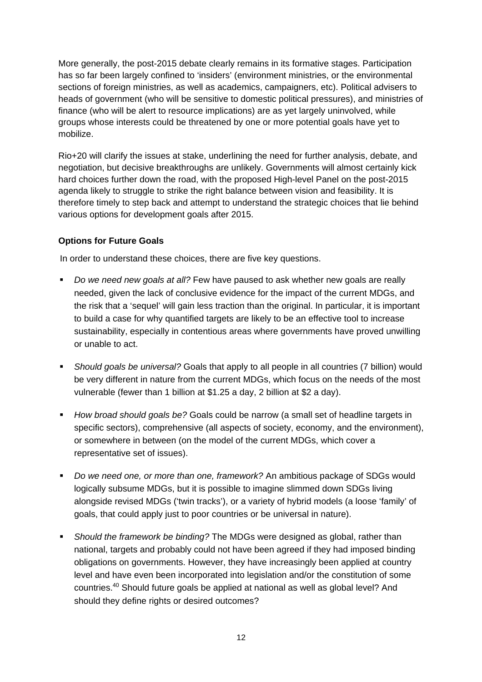More generally, the post-2015 debate clearly remains in its formative stages. Participation has so far been largely confined to 'insiders' (environment ministries, or the environmental sections of foreign ministries, as well as academics, campaigners, etc). Political advisers to heads of government (who will be sensitive to domestic political pressures), and ministries of finance (who will be alert to resource implications) are as yet largely uninvolved, while groups whose interests could be threatened by one or more potential goals have yet to mobilize.

Rio+20 will clarify the issues at stake, underlining the need for further analysis, debate, and negotiation, but decisive breakthroughs are unlikely. Governments will almost certainly kick hard choices further down the road, with the proposed High-level Panel on the post-2015 agenda likely to struggle to strike the right balance between vision and feasibility. It is therefore timely to step back and attempt to understand the strategic choices that lie behind various options for development goals after 2015.

## **Options for Future Goals**

In order to understand these choices, there are five key questions.

- *Do we need new goals at all?* Few have paused to ask whether new goals are really needed, given the lack of conclusive evidence for the impact of the current MDGs, and the risk that a 'sequel' will gain less traction than the original. In particular, it is important to build a case for why quantified targets are likely to be an effective tool to increase sustainability, especially in contentious areas where governments have proved unwilling or unable to act.
- *Should goals be universal?* Goals that apply to all people in all countries (7 billion) would be very different in nature from the current MDGs, which focus on the needs of the most vulnerable (fewer than 1 billion at \$1.25 a day, 2 billion at \$2 a day).
- *How broad should goals be?* Goals could be narrow (a small set of headline targets in specific sectors), comprehensive (all aspects of society, economy, and the environment), or somewhere in between (on the model of the current MDGs, which cover a representative set of issues).
- *Do we need one, or more than one, framework?* An ambitious package of SDGs would logically subsume MDGs, but it is possible to imagine slimmed down SDGs living alongside revised MDGs ('twin tracks'), or a variety of hybrid models (a loose 'family' of goals, that could apply just to poor countries or be universal in nature).
- *Should the framework be binding?* The MDGs were designed as global, rather than national, targets and probably could not have been agreed if they had imposed binding obligations on governments. However, they have increasingly been applied at country level and have even been incorporated into legislation and/or the constitution of some countries.40 Should future goals be applied at national as well as global level? And should they define rights or desired outcomes?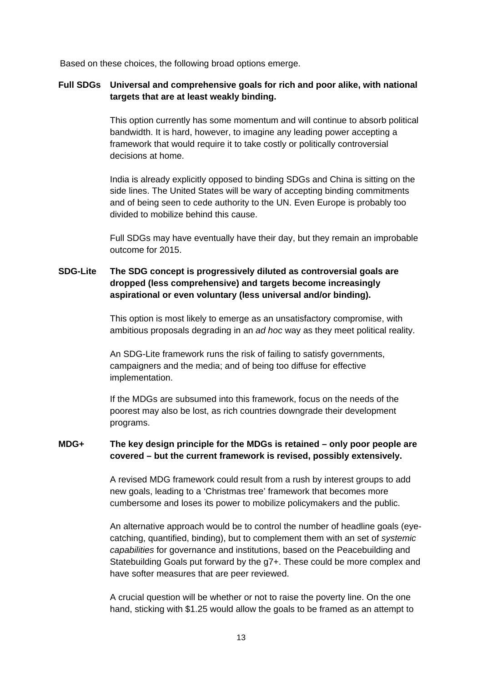Based on these choices, the following broad options emerge.

### **Full SDGs Universal and comprehensive goals for rich and poor alike, with national targets that are at least weakly binding.**

This option currently has some momentum and will continue to absorb political bandwidth. It is hard, however, to imagine any leading power accepting a framework that would require it to take costly or politically controversial decisions at home.

India is already explicitly opposed to binding SDGs and China is sitting on the side lines. The United States will be wary of accepting binding commitments and of being seen to cede authority to the UN. Even Europe is probably too divided to mobilize behind this cause.

Full SDGs may have eventually have their day, but they remain an improbable outcome for 2015.

## **SDG-Lite The SDG concept is progressively diluted as controversial goals are dropped (less comprehensive) and targets become increasingly aspirational or even voluntary (less universal and/or binding).**

This option is most likely to emerge as an unsatisfactory compromise, with ambitious proposals degrading in an *ad hoc* way as they meet political reality.

An SDG-Lite framework runs the risk of failing to satisfy governments, campaigners and the media; and of being too diffuse for effective implementation.

If the MDGs are subsumed into this framework, focus on the needs of the poorest may also be lost, as rich countries downgrade their development programs.

## **MDG+ The key design principle for the MDGs is retained – only poor people are covered – but the current framework is revised, possibly extensively.**

A revised MDG framework could result from a rush by interest groups to add new goals, leading to a 'Christmas tree' framework that becomes more cumbersome and loses its power to mobilize policymakers and the public.

An alternative approach would be to control the number of headline goals (eyecatching, quantified, binding), but to complement them with an set of *systemic capabilities* for governance and institutions, based on the Peacebuilding and Statebuilding Goals put forward by the g7+. These could be more complex and have softer measures that are peer reviewed.

A crucial question will be whether or not to raise the poverty line. On the one hand, sticking with \$1.25 would allow the goals to be framed as an attempt to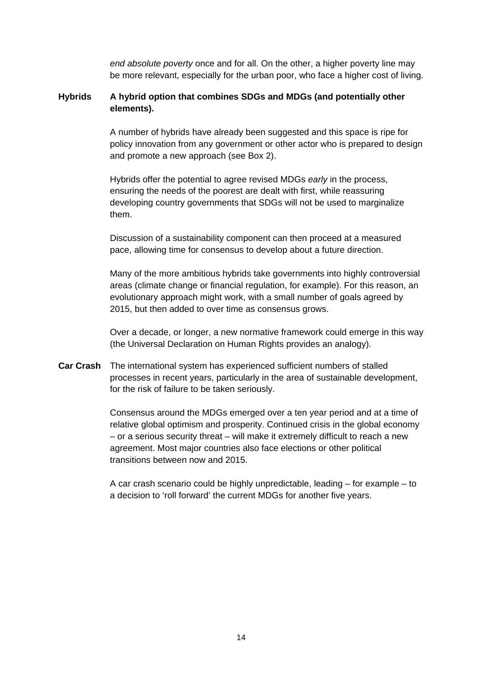*end absolute poverty* once and for all. On the other, a higher poverty line may be more relevant, especially for the urban poor, who face a higher cost of living.

#### **Hybrids A hybrid option that combines SDGs and MDGs (and potentially other elements).**

A number of hybrids have already been suggested and this space is ripe for policy innovation from any government or other actor who is prepared to design and promote a new approach (see Box 2).

Hybrids offer the potential to agree revised MDGs *early* in the process, ensuring the needs of the poorest are dealt with first, while reassuring developing country governments that SDGs will not be used to marginalize them.

Discussion of a sustainability component can then proceed at a measured pace, allowing time for consensus to develop about a future direction.

Many of the more ambitious hybrids take governments into highly controversial areas (climate change or financial regulation, for example). For this reason, an evolutionary approach might work, with a small number of goals agreed by 2015, but then added to over time as consensus grows.

Over a decade, or longer, a new normative framework could emerge in this way (the Universal Declaration on Human Rights provides an analogy).

**Car Crash** The international system has experienced sufficient numbers of stalled processes in recent years, particularly in the area of sustainable development, for the risk of failure to be taken seriously.

> Consensus around the MDGs emerged over a ten year period and at a time of relative global optimism and prosperity. Continued crisis in the global economy – or a serious security threat – will make it extremely difficult to reach a new agreement. Most major countries also face elections or other political transitions between now and 2015.

> A car crash scenario could be highly unpredictable, leading – for example – to a decision to 'roll forward' the current MDGs for another five years.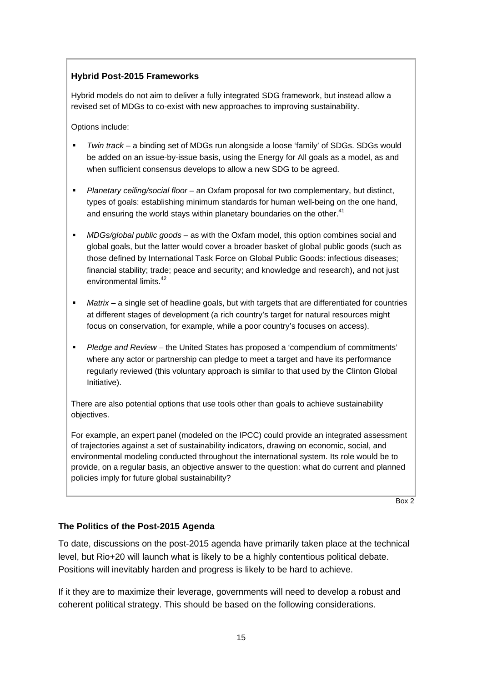## **Hybrid Post-2015 Frameworks**

Hybrid models do not aim to deliver a fully integrated SDG framework, but instead allow a revised set of MDGs to co-exist with new approaches to improving sustainability.

Options include:

- *Twin track* a binding set of MDGs run alongside a loose 'family' of SDGs. SDGs would be added on an issue-by-issue basis, using the Energy for All goals as a model, as and when sufficient consensus develops to allow a new SDG to be agreed.
- *Planetary ceiling/social floor* an Oxfam proposal for two complementary, but distinct, types of goals: establishing minimum standards for human well-being on the one hand, and ensuring the world stays within planetary boundaries on the other.<sup>41</sup>
- *MDGs/global public goods* as with the Oxfam model, this option combines social and global goals, but the latter would cover a broader basket of global public goods (such as those defined by International Task Force on Global Public Goods: infectious diseases; financial stability; trade; peace and security; and knowledge and research), and not just environmental limits.42
- *Matrix* a single set of headline goals, but with targets that are differentiated for countries at different stages of development (a rich country's target for natural resources might focus on conservation, for example, while a poor country's focuses on access).
- *Pledge and Review* the United States has proposed a 'compendium of commitments' where any actor or partnership can pledge to meet a target and have its performance regularly reviewed (this voluntary approach is similar to that used by the Clinton Global Initiative).

There are also potential options that use tools other than goals to achieve sustainability objectives.

For example, an expert panel (modeled on the IPCC) could provide an integrated assessment of trajectories against a set of sustainability indicators, drawing on economic, social, and environmental modeling conducted throughout the international system. Its role would be to provide, on a regular basis, an objective answer to the question: what do current and planned policies imply for future global sustainability?

Box 2

## **The Politics of the Post-2015 Agenda**

To date, discussions on the post-2015 agenda have primarily taken place at the technical level, but Rio+20 will launch what is likely to be a highly contentious political debate. Positions will inevitably harden and progress is likely to be hard to achieve.

If it they are to maximize their leverage, governments will need to develop a robust and coherent political strategy. This should be based on the following considerations.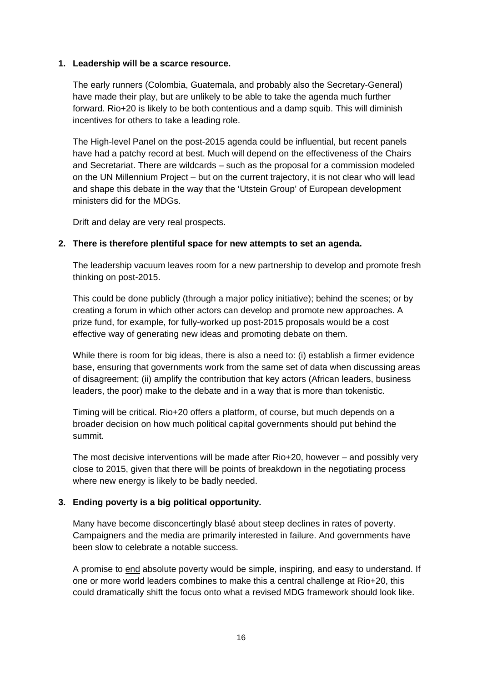#### **1. Leadership will be a scarce resource.**

The early runners (Colombia, Guatemala, and probably also the Secretary-General) have made their play, but are unlikely to be able to take the agenda much further forward. Rio+20 is likely to be both contentious and a damp squib. This will diminish incentives for others to take a leading role.

The High-level Panel on the post-2015 agenda could be influential, but recent panels have had a patchy record at best. Much will depend on the effectiveness of the Chairs and Secretariat. There are wildcards – such as the proposal for a commission modeled on the UN Millennium Project – but on the current trajectory, it is not clear who will lead and shape this debate in the way that the 'Utstein Group' of European development ministers did for the MDGs.

Drift and delay are very real prospects.

#### **2. There is therefore plentiful space for new attempts to set an agenda.**

The leadership vacuum leaves room for a new partnership to develop and promote fresh thinking on post-2015.

This could be done publicly (through a major policy initiative); behind the scenes; or by creating a forum in which other actors can develop and promote new approaches. A prize fund, for example, for fully-worked up post-2015 proposals would be a cost effective way of generating new ideas and promoting debate on them.

While there is room for big ideas, there is also a need to: (i) establish a firmer evidence base, ensuring that governments work from the same set of data when discussing areas of disagreement; (ii) amplify the contribution that key actors (African leaders, business leaders, the poor) make to the debate and in a way that is more than tokenistic.

Timing will be critical. Rio+20 offers a platform, of course, but much depends on a broader decision on how much political capital governments should put behind the summit.

The most decisive interventions will be made after Rio+20, however – and possibly very close to 2015, given that there will be points of breakdown in the negotiating process where new energy is likely to be badly needed.

#### **3. Ending poverty is a big political opportunity.**

Many have become disconcertingly blasé about steep declines in rates of poverty. Campaigners and the media are primarily interested in failure. And governments have been slow to celebrate a notable success.

A promise to end absolute poverty would be simple, inspiring, and easy to understand. If one or more world leaders combines to make this a central challenge at Rio+20, this could dramatically shift the focus onto what a revised MDG framework should look like.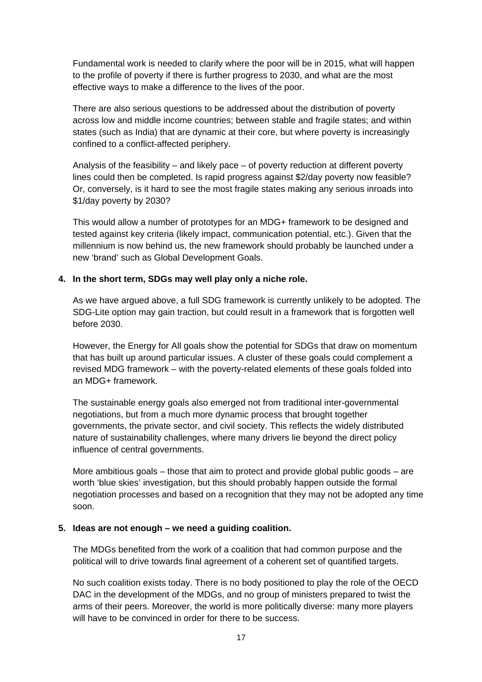Fundamental work is needed to clarify where the poor will be in 2015, what will happen to the profile of poverty if there is further progress to 2030, and what are the most effective ways to make a difference to the lives of the poor.

There are also serious questions to be addressed about the distribution of poverty across low and middle income countries; between stable and fragile states; and within states (such as India) that are dynamic at their core, but where poverty is increasingly confined to a conflict-affected periphery.

Analysis of the feasibility – and likely pace – of poverty reduction at different poverty lines could then be completed. Is rapid progress against \$2/day poverty now feasible? Or, conversely, is it hard to see the most fragile states making any serious inroads into \$1/day poverty by 2030?

This would allow a number of prototypes for an MDG+ framework to be designed and tested against key criteria (likely impact, communication potential, etc.). Given that the millennium is now behind us, the new framework should probably be launched under a new 'brand' such as Global Development Goals.

### **4. In the short term, SDGs may well play only a niche role.**

As we have argued above, a full SDG framework is currently unlikely to be adopted. The SDG-Lite option may gain traction, but could result in a framework that is forgotten well before 2030.

However, the Energy for All goals show the potential for SDGs that draw on momentum that has built up around particular issues. A cluster of these goals could complement a revised MDG framework – with the poverty-related elements of these goals folded into an MDG+ framework.

The sustainable energy goals also emerged not from traditional inter-governmental negotiations, but from a much more dynamic process that brought together governments, the private sector, and civil society. This reflects the widely distributed nature of sustainability challenges, where many drivers lie beyond the direct policy influence of central governments.

More ambitious goals – those that aim to protect and provide global public goods – are worth 'blue skies' investigation, but this should probably happen outside the formal negotiation processes and based on a recognition that they may not be adopted any time soon.

#### **5. Ideas are not enough – we need a guiding coalition.**

The MDGs benefited from the work of a coalition that had common purpose and the political will to drive towards final agreement of a coherent set of quantified targets.

No such coalition exists today. There is no body positioned to play the role of the OECD DAC in the development of the MDGs, and no group of ministers prepared to twist the arms of their peers. Moreover, the world is more politically diverse: many more players will have to be convinced in order for there to be success.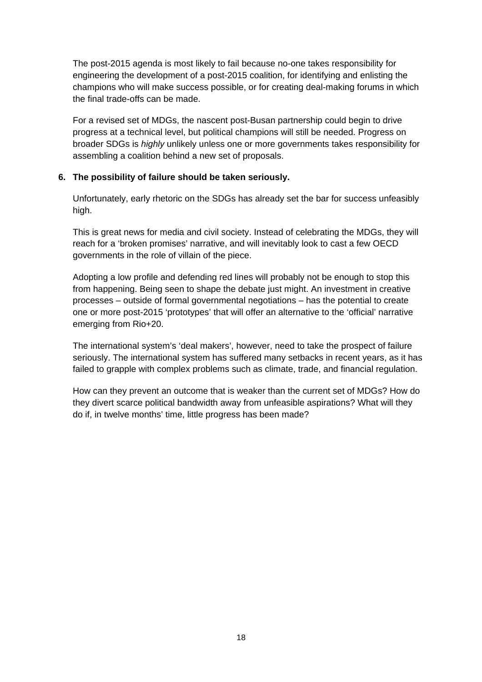The post-2015 agenda is most likely to fail because no-one takes responsibility for engineering the development of a post-2015 coalition, for identifying and enlisting the champions who will make success possible, or for creating deal-making forums in which the final trade-offs can be made.

For a revised set of MDGs, the nascent post-Busan partnership could begin to drive progress at a technical level, but political champions will still be needed. Progress on broader SDGs is *highly* unlikely unless one or more governments takes responsibility for assembling a coalition behind a new set of proposals.

#### **6. The possibility of failure should be taken seriously.**

Unfortunately, early rhetoric on the SDGs has already set the bar for success unfeasibly high.

This is great news for media and civil society. Instead of celebrating the MDGs, they will reach for a 'broken promises' narrative, and will inevitably look to cast a few OECD governments in the role of villain of the piece.

Adopting a low profile and defending red lines will probably not be enough to stop this from happening. Being seen to shape the debate just might. An investment in creative processes – outside of formal governmental negotiations – has the potential to create one or more post-2015 'prototypes' that will offer an alternative to the 'official' narrative emerging from Rio+20.

The international system's 'deal makers', however, need to take the prospect of failure seriously. The international system has suffered many setbacks in recent years, as it has failed to grapple with complex problems such as climate, trade, and financial regulation.

How can they prevent an outcome that is weaker than the current set of MDGs? How do they divert scarce political bandwidth away from unfeasible aspirations? What will they do if, in twelve months' time, little progress has been made?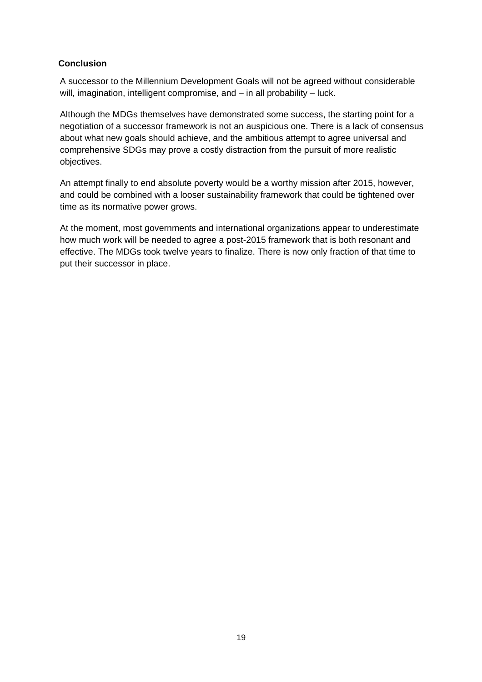### **Conclusion**

A successor to the Millennium Development Goals will not be agreed without considerable will, imagination, intelligent compromise, and – in all probability – luck.

Although the MDGs themselves have demonstrated some success, the starting point for a negotiation of a successor framework is not an auspicious one. There is a lack of consensus about what new goals should achieve, and the ambitious attempt to agree universal and comprehensive SDGs may prove a costly distraction from the pursuit of more realistic objectives.

An attempt finally to end absolute poverty would be a worthy mission after 2015, however, and could be combined with a looser sustainability framework that could be tightened over time as its normative power grows.

At the moment, most governments and international organizations appear to underestimate how much work will be needed to agree a post-2015 framework that is both resonant and effective. The MDGs took twelve years to finalize. There is now only fraction of that time to put their successor in place.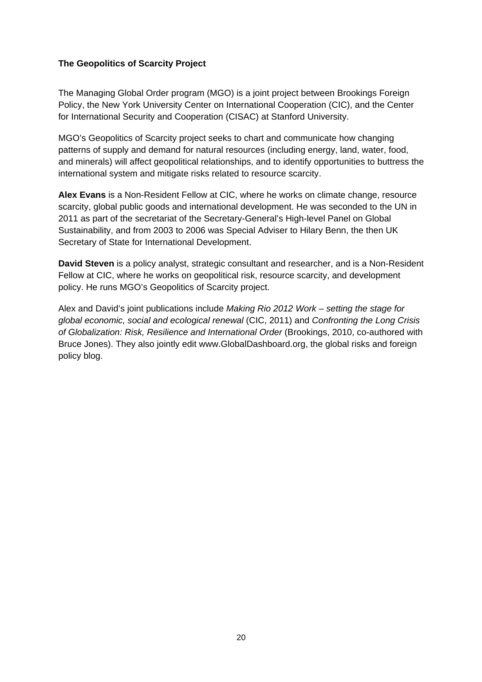#### **The Geopolitics of Scarcity Project**

The Managing Global Order program (MGO) is a joint project between Brookings Foreign Policy, the New York University Center on International Cooperation (CIC), and the Center for International Security and Cooperation (CISAC) at Stanford University.

MGO's Geopolitics of Scarcity project seeks to chart and communicate how changing patterns of supply and demand for natural resources (including energy, land, water, food, and minerals) will affect geopolitical relationships, and to identify opportunities to buttress the international system and mitigate risks related to resource scarcity.

**Alex Evans** is a Non-Resident Fellow at CIC, where he works on climate change, resource scarcity, global public goods and international development. He was seconded to the UN in 2011 as part of the secretariat of the Secretary-General's High-level Panel on Global Sustainability, and from 2003 to 2006 was Special Adviser to Hilary Benn, the then UK Secretary of State for International Development.

**David Steven** is a policy analyst, strategic consultant and researcher, and is a Non-Resident Fellow at CIC, where he works on geopolitical risk, resource scarcity, and development policy. He runs MGO's Geopolitics of Scarcity project.

Alex and David's joint publications include *Making Rio 2012 Work – setting the stage for global economic, social and ecological renewal* (CIC, 2011) and *Confronting the Long Crisis of Globalization: Risk, Resilience and International Order* (Brookings, 2010, co-authored with Bruce Jones). They also jointly edit www.GlobalDashboard.org, the global risks and foreign policy blog.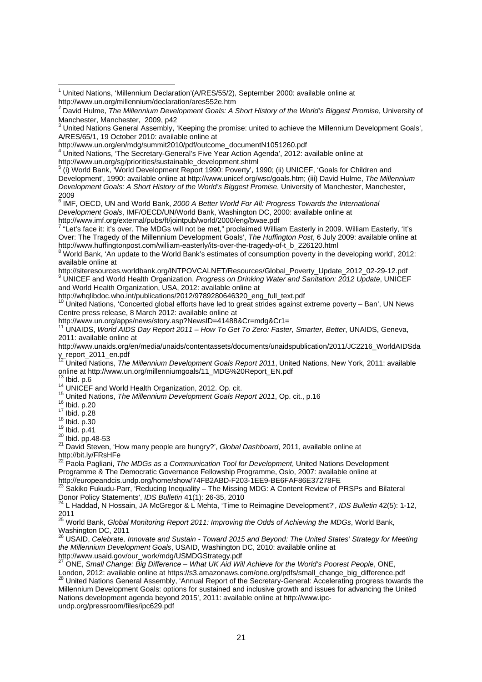2009<br><sup>6</sup> IMF, OECD, UN and World Bank, 2*000 A Better World For All: Progress Towards the International Development Goals*, IMF/OECD/UN/World Bank, Washington DC, 2000: available online at http://www.imf.org/external/pubs/ft/jointpub/world/2000/eng/bwae.pdf 7

<sup>7</sup> "Let's face it: it's over. The MDGs will not be met," proclaimed William Easterly in 2009. William Easterly, 'It's Over: The Tragedy of the Millennium Development Goals', *The Huffington Post*, 6 July 2009: available online at

http://www.huffingtonpost.com/william-easterly/its-over-the-tragedy-of-t\_b\_226120.html<br><sup>8</sup> World Bank, 'An update to the World Bank's estimates of consumption poverty in the developing world', 2012: available online at

http://siteresources.worldbank.org/INTPOVCALNET/Resources/Global\_Poverty\_Update\_2012\_02-29-12.pdf UNICEF and World Health Organization, *Progress on Drinking Water and Sanitation: 2012 Update*, UNICEF and World Health Organization, USA, 2012: available online at

http://whqlibdoc.who.int/publications/2012/9789280646320\_eng\_full\_text.pdf

United Nations, 'Concerted global efforts have led to great strides against extreme poverty – Ban', UN News Centre press release, 8 March 2012: available online at

http://www.un.org/apps/news/story.asp?NewsID=41488&Cr=mdg&Cr1=

11 UNAIDS, *World AIDS Day Report 2011 – How To Get To Zero: Faster, Smarter, Better*, UNAIDS, Geneva, 2011: available online at

http://www.unaids.org/en/media/unaids/contentassets/documents/unaidspublication/2011/JC2216\_WorldAIDSda y\_report\_2011\_en.pdf

<sup>12</sup> United Nations, *The Millennium Development Goals Report 2011*, United Nations, New York, 2011: available

online at http://www.un.org/millenniumgoals/11\_MDG%20Report\_EN.pdf<br>
<sup>13</sup> Ibid. p.6<br>
<sup>14</sup> UNICEF and World Health Organization, 2012. Op. cit.<br>
<sup>15</sup> United Nations, *The Millennium Development Goals Report 2011*, Op. cit.,

nttp://bit.ly/Freedity/Freedity/Freedity-22 Paola Papacasette 22 Paola Pagliani, <sup>22</sup> Paola Pagliani, *The MDGs as a Communication Tool for Development* Programme & The Democratic Governance Fellowship Programme, Oslo, 2007: available online at

http://europeandcis.undp.org/home/show/74FB2ABD-F203-1EE9-BE6FAF86E37278FE<br>23 Sakiko Fukudu-Parr, 'Reducing Inequality – The Missing MDG: A Content Review of PRSPs and Bilateral Donor Policy Statements', *IDS Bulletin* 41(1): 26-35, 2010<br><sup>24</sup> L Haddad, N Hossain, JA McGregor & L Mehta, 'Time to Reimagine Development?', *IDS Bulletin* 42(5): 1-12,

2011

25 World Bank, *Global Monitoring Report 2011: Improving the Odds of Achieving the MDGs*, World Bank, Washington DC, 2011

<sup>26</sup> USAID, *Celebrate, Innovate and Sustain - Toward 2015 and Beyond: The United States' Strategy for Meeting the Millennium Development Goals*, USAID, Washington DC, 2010: available online at http://www.usaid.gov/our\_work/mdg/USMDGStrategy.pdf

27 ONE, *Small Change: Big Difference – What UK Aid Will Achieve for the World's Poorest People*, ONE,

London, 2012: available online at https://s3.amazonaws.com/one.org/pdfs/small\_change\_big\_difference.pdf 28 United Nations General Assembly, 'Annual Report of the Secretary-General: Accelerating progress towards the Millennium Development Goals: options for sustained and inclusive growth and issues for advancing the United Nations development agenda beyond 2015', 2011: available online at http://www.ipcundp.org/pressroom/files/ipc629.pdf

 <sup>1</sup> United Nations, 'Millennium Declaration'(A/RES/55/2), September 2000: available online at http://www.un.org/millennium/declaration/ares552e.htm

<sup>2</sup> David Hulme, *The Millennium Development Goals: A Short History of the World's Biggest Promise*, University of Manchester, Manchester, 2009, p42 3

United Nations General Assembly, 'Keeping the promise: united to achieve the Millennium Development Goals', A/RES/65/1, 19 October 2010: available online at

http://www.un.org/en/mdg/summit2010/pdf/outcome\_documentN1051260.pdf

<sup>&</sup>lt;sup>4</sup> United Nations, 'The Secretary-General's Five Year Action Agenda', 2012: available online at http://www.un.org/sg/priorities/sustainable\_development.shtml

 <sup>(</sup>i) World Bank, 'World Development Report 1990: Poverty', 1990; (ii) UNICEF, 'Goals for Children and Development', 1990: available online at http://www.unicef.org/wsc/goals.htm; (iii) David Hulme, *The Millennium Development Goals: A Short History of the World's Biggest Promise*, University of Manchester, Manchester,